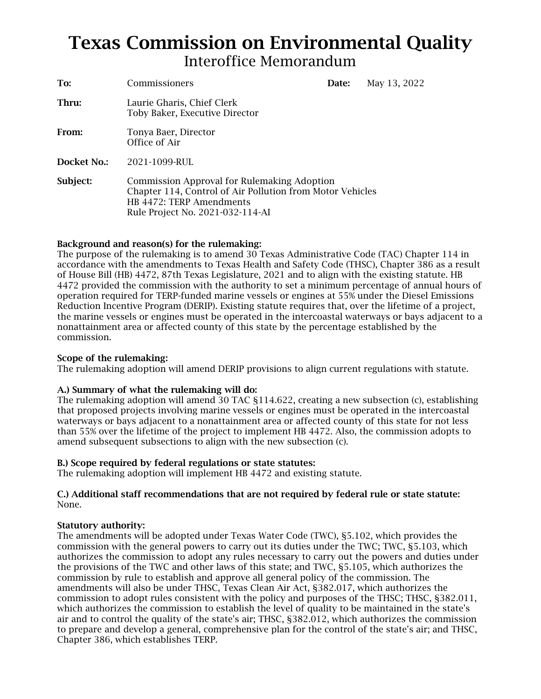# Texas Commission on Environmental Quality Interoffice Memorandum

| To:         | Commissioners                                                                                                                                                            | Date: | May 13, 2022 |
|-------------|--------------------------------------------------------------------------------------------------------------------------------------------------------------------------|-------|--------------|
| Thru:       | Laurie Gharis, Chief Clerk<br>Toby Baker, Executive Director                                                                                                             |       |              |
| From:       | Tonya Baer, Director<br>Office of Air                                                                                                                                    |       |              |
| Docket No.: | 2021-1099-RUL                                                                                                                                                            |       |              |
| Subject:    | Commission Approval for Rulemaking Adoption<br>Chapter 114, Control of Air Pollution from Motor Vehicles<br>HB 4472: TERP Amendments<br>Rule Project No. 2021-032-114-AI |       |              |

# Background and reason(s) for the rulemaking:

 the marine vessels or engines must be operated in the intercoastal waterways or bays adjacent to a commission. The purpose of the rulemaking is to amend 30 Texas Administrative Code (TAC) Chapter 114 in accordance with the amendments to Texas Health and Safety Code (THSC), Chapter 386 as a result of House Bill (HB) 4472, 87th Texas Legislature, 2021 and to align with the existing statute. HB 4472 provided the commission with the authority to set a minimum percentage of annual hours of operation required for TERP-funded marine vessels or engines at 55% under the Diesel Emissions Reduction Incentive Program (DERIP). Existing statute requires that, over the lifetime of a project, nonattainment area or affected county of this state by the percentage established by the

# Scope of the rulemaking:

The rulemaking adoption will amend DERIP provisions to align current regulations with statute.

# A.) Summary of what the rulemaking will do:

 than 55% over the lifetime of the project to implement HB 4472. Also, the commission adopts to The rulemaking adoption will amend 30 TAC §114.622, creating a new subsection (c), establishing that proposed projects involving marine vessels or engines must be operated in the intercoastal waterways or bays adjacent to a nonattainment area or affected county of this state for not less amend subsequent subsections to align with the new subsection (c).

# B.) Scope required by federal regulations or state statutes:

The rulemaking adoption will implement HB 4472 and existing statute.

# C.) Additional staff recommendations that are not required by federal rule or state statute: None.

# Statutory authority:

 The amendments will be adopted under Texas Water Code (TWC), §5.102, which provides the commission by rule to establish and approve all general policy of the commission. The to prepare and develop a general, comprehensive plan for the control of the state's air; and THSC, Chapter 386, which establishes TERP. commission with the general powers to carry out its duties under the TWC; TWC, §5.103, which authorizes the commission to adopt any rules necessary to carry out the powers and duties under the provisions of the TWC and other laws of this state; and TWC, §5.105, which authorizes the amendments will also be under THSC, Texas Clean Air Act, §382.017, which authorizes the commission to adopt rules consistent with the policy and purposes of the THSC; THSC, §382.011, which authorizes the commission to establish the level of quality to be maintained in the state's air and to control the quality of the state's air; THSC, §382.012, which authorizes the commission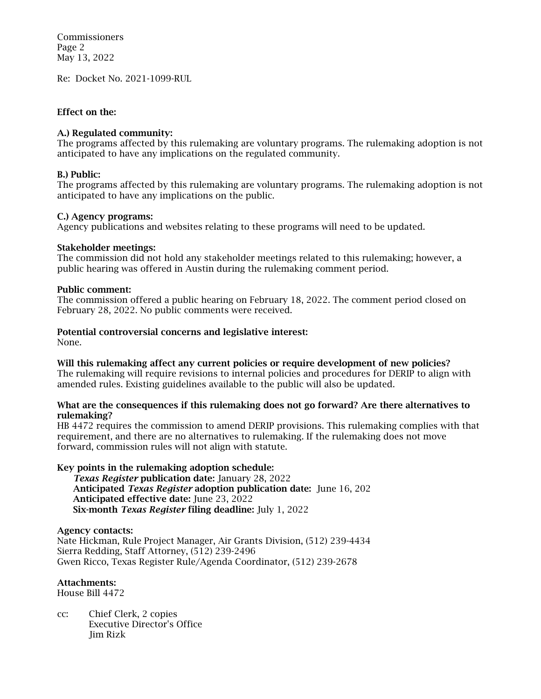Commissioners Page 2 May 13, 2022

Re: Docket No. 2021-1099-RUL

# Effect on the:

#### A.) Regulated community:

 The programs affected by this rulemaking are voluntary programs. The rulemaking adoption is not anticipated to have any implications on the regulated community.

#### B.) Public:

 The programs affected by this rulemaking are voluntary programs. The rulemaking adoption is not anticipated to have any implications on the public.

#### C.) Agency programs:

Agency publications and websites relating to these programs will need to be updated.

#### Stakeholder meetings:

 public hearing was offered in Austin during the rulemaking comment period. The commission did not hold any stakeholder meetings related to this rulemaking; however, a

#### Public comment:

 The commission offered a public hearing on February 18, 2022. The comment period closed on February 28, 2022. No public comments were received.

# Potential controversial concerns and legislative interest:

None.

 Will this rulemaking affect any current policies or require development of new policies? The rulemaking will require revisions to internal policies and procedures for DERIP to align with amended rules. Existing guidelines available to the public will also be updated.

#### What are the consequences if this rulemaking does not go forward? Are there alternatives to rulemaking?

 HB 4472 requires the commission to amend DERIP provisions. This rulemaking complies with that forward, commission rules will not align with statute. requirement, and there are no alternatives to rulemaking. If the rulemaking does not move

# Key points in the rulemaking adoption schedule:

 *Texas Register* publication date: January 28, 2022 Anticipated *Texas Register* adoption publication date: June 16, 202 Anticipated effective date: June 23, 2022 Six-month *Texas Register* filing deadline: July 1, 2022

Agency contacts:

 Nate Hickman, Rule Project Manager, Air Grants Division, (512) 239-4434 Sierra Redding, Staff Attorney, (512) 239-2496 Gwen Ricco, Texas Register Rule/Agenda Coordinator, (512) 239-2678

# Attachments:

House Bill 4472

 cc: Chief Clerk, 2 copies Executive Director's Office Jim Rizk